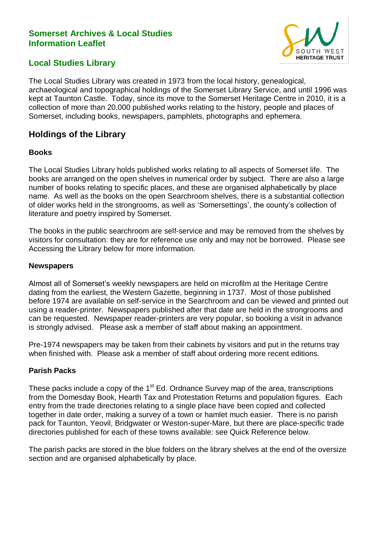## **Somerset Archives & Local Studies Information Leaflet**



# **Local Studies Library**

The Local Studies Library was created in 1973 from the local history, genealogical, archaeological and topographical holdings of the Somerset Library Service, and until 1996 was kept at Taunton Castle. Today, since its move to the Somerset Heritage Centre in 2010, it is a collection of more than 20,000 published works relating to the history, people and places of Somerset, including books, newspapers, pamphlets, photographs and ephemera.

# **Holdings of the Library**

## **Books**

The Local Studies Library holds published works relating to all aspects of Somerset life. The books are arranged on the open shelves in numerical order by subject. There are also a large number of books relating to specific places, and these are organised alphabetically by place name. As well as the books on the open Searchroom shelves, there is a substantial collection of older works held in the strongrooms, as well as 'Somersettings', the county's collection of literature and poetry inspired by Somerset.

The books in the public searchroom are self-service and may be removed from the shelves by visitors for consultation: they are for reference use only and may not be borrowed. Please see Accessing the Library below for more information.

#### **Newspapers**

Almost all of Somerset's weekly newspapers are held on microfilm at the Heritage Centre dating from the earliest, the Western Gazette, beginning in 1737. Most of those published before 1974 are available on self-service in the Searchroom and can be viewed and printed out using a reader-printer. Newspapers published after that date are held in the strongrooms and can be requested. Newspaper reader-printers are very popular, so booking a visit in advance is strongly advised. Please ask a member of staff about making an appointment.

Pre-1974 newspapers may be taken from their cabinets by visitors and put in the returns tray when finished with. Please ask a member of staff about ordering more recent editions.

## **Parish Packs**

These packs include a copy of the  $1<sup>st</sup>$  Ed. Ordnance Survey map of the area, transcriptions from the Domesday Book, Hearth Tax and Protestation Returns and population figures. Each entry from the trade directories relating to a single place have been copied and collected together in date order, making a survey of a town or hamlet much easier. There is no parish pack for Taunton, Yeovil, Bridgwater or Weston-super-Mare, but there are place-specific trade directories published for each of these towns available: see Quick Reference below.

The parish packs are stored in the blue folders on the library shelves at the end of the oversize section and are organised alphabetically by place.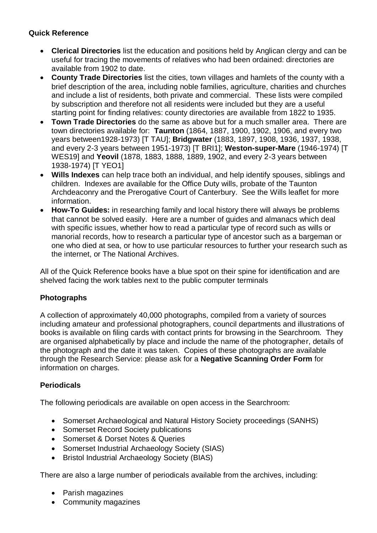## **Quick Reference**

- **Clerical Directories** list the education and positions held by Anglican clergy and can be useful for tracing the movements of relatives who had been ordained: directories are available from 1902 to date.
- **County Trade Directories** list the cities, town villages and hamlets of the county with a brief description of the area, including noble families, agriculture, charities and churches and include a list of residents, both private and commercial. These lists were compiled by subscription and therefore not all residents were included but they are a useful starting point for finding relatives: county directories are available from 1822 to 1935.
- **Town Trade Directories** do the same as above but for a much smaller area. There are town directories available for: **Taunton** (1864, 1887, 1900, 1902, 1906, and every two years between1928-1973) [T TAU]; **Bridgwater** (1883, 1897, 1908, 1936, 1937, 1938, and every 2-3 years between 1951-1973) [T BRI1]; **Weston-super-Mare** (1946-1974) [T WES19] and **Yeovil** (1878, 1883, 1888, 1889, 1902, and every 2-3 years between 1938-1974) [T YEO1]
- **Wills Indexes** can help trace both an individual, and help identify spouses, siblings and children. Indexes are available for the Office Duty wills, probate of the Taunton Archdeaconry and the Prerogative Court of Canterbury. See the Wills leaflet for more information.
- **How-To Guides:** in researching family and local history there will always be problems that cannot be solved easily. Here are a number of guides and almanacs which deal with specific issues, whether how to read a particular type of record such as wills or manorial records, how to research a particular type of ancestor such as a bargeman or one who died at sea, or how to use particular resources to further your research such as the internet, or The National Archives.

All of the Quick Reference books have a blue spot on their spine for identification and are shelved facing the work tables next to the public computer terminals

## **Photographs**

A collection of approximately 40,000 photographs, compiled from a variety of sources including amateur and professional photographers, council departments and illustrations of books is available on filing cards with contact prints for browsing in the Searchroom. They are organised alphabetically by place and include the name of the photographer, details of the photograph and the date it was taken. Copies of these photographs are available through the Research Service: please ask for a **Negative Scanning Order Form** for information on charges.

## **Periodicals**

The following periodicals are available on open access in the Searchroom:

- Somerset Archaeological and Natural History Society proceedings (SANHS)
- Somerset Record Society publications
- Somerset & Dorset Notes & Queries
- Somerset Industrial Archaeology Society (SIAS)
- Bristol Industrial Archaeology Society (BIAS)

There are also a large number of periodicals available from the archives, including:

- Parish magazines
- Community magazines